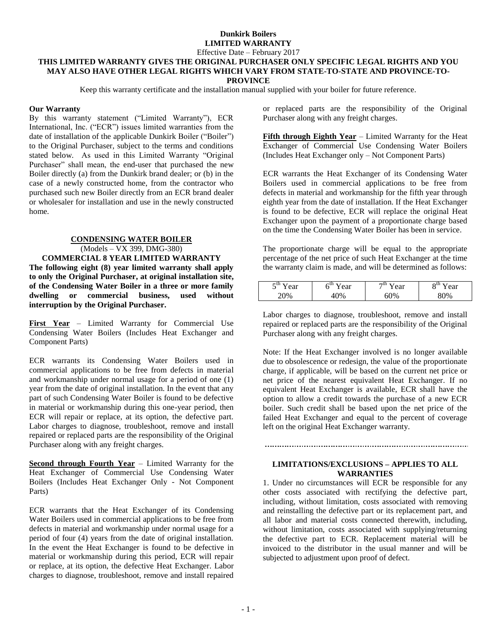# **Dunkirk Boilers LIMITED WARRANTY**

Effective Date – February 2017

#### **THIS LIMITED WARRANTY GIVES THE ORIGINAL PURCHASER ONLY SPECIFIC LEGAL RIGHTS AND YOU MAY ALSO HAVE OTHER LEGAL RIGHTS WHICH VARY FROM STATE-TO-STATE AND PROVINCE-TO-PROVINCE**

Keep this warranty certificate and the installation manual supplied with your boiler for future reference.

### **Our Warranty**

By this warranty statement ("Limited Warranty"), ECR International, Inc. ("ECR") issues limited warranties from the date of installation of the applicable Dunkirk Boiler ("Boiler") to the Original Purchaser, subject to the terms and conditions stated below. As used in this Limited Warranty "Original Purchaser" shall mean, the end-user that purchased the new Boiler directly (a) from the Dunkirk brand dealer; or (b) in the case of a newly constructed home, from the contractor who purchased such new Boiler directly from an ECR brand dealer or wholesaler for installation and use in the newly constructed home.

## **CONDENSING WATER BOILER**

(Models – VX 399, DMG-380)

**COMMERCIAL 8 YEAR LIMITED WARRANTY The following eight (8) year limited warranty shall apply to only the Original Purchaser, at original installation site, of the Condensing Water Boiler in a three or more family dwelling or commercial business, used without interruption by the Original Purchaser.**

**First Year** – Limited Warranty for Commercial Use Condensing Water Boilers (Includes Heat Exchanger and Component Parts)

ECR warrants its Condensing Water Boilers used in commercial applications to be free from defects in material and workmanship under normal usage for a period of one (1) year from the date of original installation. In the event that any part of such Condensing Water Boiler is found to be defective in material or workmanship during this one-year period, then ECR will repair or replace, at its option, the defective part. Labor charges to diagnose, troubleshoot, remove and install repaired or replaced parts are the responsibility of the Original Purchaser along with any freight charges.

**Second through Fourth Year** – Limited Warranty for the Heat Exchanger of Commercial Use Condensing Water Boilers (Includes Heat Exchanger Only - Not Component Parts)

ECR warrants that the Heat Exchanger of its Condensing Water Boilers used in commercial applications to be free from defects in material and workmanship under normal usage for a period of four (4) years from the date of original installation. In the event the Heat Exchanger is found to be defective in material or workmanship during this period, ECR will repair or replace, at its option, the defective Heat Exchanger. Labor charges to diagnose, troubleshoot, remove and install repaired

or replaced parts are the responsibility of the Original Purchaser along with any freight charges.

**Fifth through Eighth Year** – Limited Warranty for the Heat Exchanger of Commercial Use Condensing Water Boilers (Includes Heat Exchanger only – Not Component Parts)

ECR warrants the Heat Exchanger of its Condensing Water Boilers used in commercial applications to be free from defects in material and workmanship for the fifth year through eighth year from the date of installation. If the Heat Exchanger is found to be defective, ECR will replace the original Heat Exchanger upon the payment of a proportionate charge based on the time the Condensing Water Boiler has been in service.

The proportionate charge will be equal to the appropriate percentage of the net price of such Heat Exchanger at the time the warranty claim is made, and will be determined as follows:

| $\epsilon$ tn<br>ear<br>$\overline{\phantom{a}}$ | ա.<br>ear      | ¬แ<br>ear       | oш<br>ear<br>v |
|--------------------------------------------------|----------------|-----------------|----------------|
| $^{10}$ <sub>0</sub>                             | 0 <sub>k</sub> | $\mathcal{O}_0$ | $\gamma_{0/2}$ |

Labor charges to diagnose, troubleshoot, remove and install repaired or replaced parts are the responsibility of the Original Purchaser along with any freight charges.

Note: If the Heat Exchanger involved is no longer available due to obsolescence or redesign, the value of the proportionate charge, if applicable, will be based on the current net price or net price of the nearest equivalent Heat Exchanger. If no equivalent Heat Exchanger is available, ECR shall have the option to allow a credit towards the purchase of a new ECR boiler. Such credit shall be based upon the net price of the failed Heat Exchanger and equal to the percent of coverage left on the original Heat Exchanger warranty.

## **LIMITATIONS/EXCLUSIONS – APPLIES TO ALL WARRANTIES**

1. Under no circumstances will ECR be responsible for any other costs associated with rectifying the defective part, including, without limitation, costs associated with removing and reinstalling the defective part or its replacement part, and all labor and material costs connected therewith, including, without limitation, costs associated with supplying/returning the defective part to ECR. Replacement material will be invoiced to the distributor in the usual manner and will be subjected to adjustment upon proof of defect.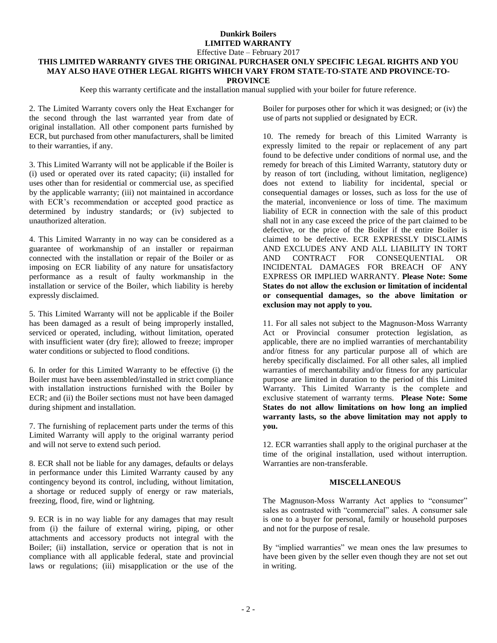#### **Dunkirk Boilers LIMITED WARRANTY** Effective Date – February 2017

## **THIS LIMITED WARRANTY GIVES THE ORIGINAL PURCHASER ONLY SPECIFIC LEGAL RIGHTS AND YOU MAY ALSO HAVE OTHER LEGAL RIGHTS WHICH VARY FROM STATE-TO-STATE AND PROVINCE-TO-PROVINCE**

Keep this warranty certificate and the installation manual supplied with your boiler for future reference.

2. The Limited Warranty covers only the Heat Exchanger for the second through the last warranted year from date of original installation. All other component parts furnished by ECR, but purchased from other manufacturers, shall be limited to their warranties, if any.

3. This Limited Warranty will not be applicable if the Boiler is (i) used or operated over its rated capacity; (ii) installed for uses other than for residential or commercial use, as specified by the applicable warranty; (iii) not maintained in accordance with ECR's recommendation or accepted good practice as determined by industry standards; or (iv) subjected to unauthorized alteration.

4. This Limited Warranty in no way can be considered as a guarantee of workmanship of an installer or repairman connected with the installation or repair of the Boiler or as imposing on ECR liability of any nature for unsatisfactory performance as a result of faulty workmanship in the installation or service of the Boiler, which liability is hereby expressly disclaimed.

5. This Limited Warranty will not be applicable if the Boiler has been damaged as a result of being improperly installed, serviced or operated, including, without limitation, operated with insufficient water (dry fire); allowed to freeze; improper water conditions or subjected to flood conditions.

6. In order for this Limited Warranty to be effective (i) the Boiler must have been assembled/installed in strict compliance with installation instructions furnished with the Boiler by ECR; and (ii) the Boiler sections must not have been damaged during shipment and installation.

7. The furnishing of replacement parts under the terms of this Limited Warranty will apply to the original warranty period and will not serve to extend such period.

8. ECR shall not be liable for any damages, defaults or delays in performance under this Limited Warranty caused by any contingency beyond its control, including, without limitation, a shortage or reduced supply of energy or raw materials, freezing, flood, fire, wind or lightning.

9. ECR is in no way liable for any damages that may result from (i) the failure of external wiring, piping, or other attachments and accessory products not integral with the Boiler; (ii) installation, service or operation that is not in compliance with all applicable federal, state and provincial laws or regulations; (iii) misapplication or the use of the Boiler for purposes other for which it was designed; or (iv) the use of parts not supplied or designated by ECR.

10. The remedy for breach of this Limited Warranty is expressly limited to the repair or replacement of any part found to be defective under conditions of normal use, and the remedy for breach of this Limited Warranty, statutory duty or by reason of tort (including, without limitation, negligence) does not extend to liability for incidental, special or consequential damages or losses, such as loss for the use of the material, inconvenience or loss of time. The maximum liability of ECR in connection with the sale of this product shall not in any case exceed the price of the part claimed to be defective, or the price of the Boiler if the entire Boiler is claimed to be defective. ECR EXPRESSLY DISCLAIMS AND EXCLUDES ANY AND ALL LIABILITY IN TORT AND CONTRACT FOR CONSEQUENTIAL OR INCIDENTAL DAMAGES FOR BREACH OF ANY EXPRESS OR IMPLIED WARRANTY. **Please Note: Some States do not allow the exclusion or limitation of incidental or consequential damages, so the above limitation or exclusion may not apply to you.**

11. For all sales not subject to the Magnuson-Moss Warranty Act or Provincial consumer protection legislation, as applicable, there are no implied warranties of merchantability and/or fitness for any particular purpose all of which are hereby specifically disclaimed. For all other sales, all implied warranties of merchantability and/or fitness for any particular purpose are limited in duration to the period of this Limited Warranty. This Limited Warranty is the complete and exclusive statement of warranty terms. **Please Note: Some States do not allow limitations on how long an implied warranty lasts, so the above limitation may not apply to you.**

12. ECR warranties shall apply to the original purchaser at the time of the original installation, used without interruption. Warranties are non-transferable.

### **MISCELLANEOUS**

The Magnuson-Moss Warranty Act applies to "consumer" sales as contrasted with "commercial" sales. A consumer sale is one to a buyer for personal, family or household purposes and not for the purpose of resale.

By "implied warranties" we mean ones the law presumes to have been given by the seller even though they are not set out in writing.